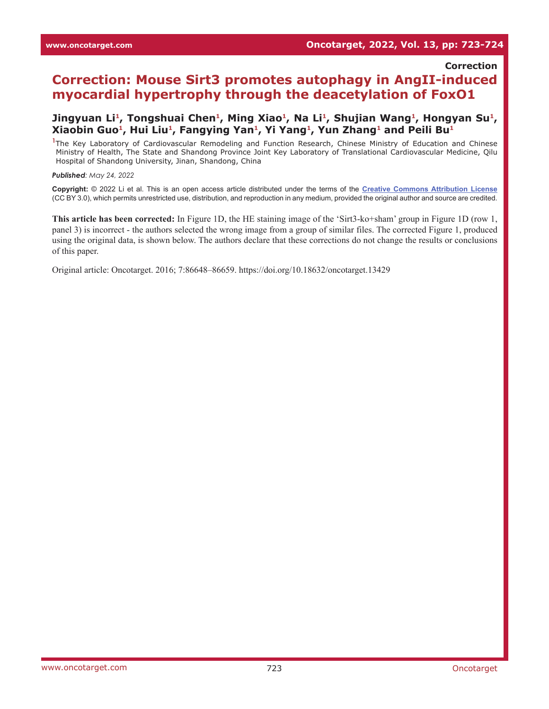**Correction**

## **Correction: Mouse Sirt3 promotes autophagy in AngII-induced myocardial hypertrophy through the deacetylation of FoxO1**

## Jingyuan Li<sup>1</sup>, Tongshuai Chen<sup>1</sup>, Ming Xiao<sup>1</sup>, Na Li<sup>1</sup>, Shujian Wang<sup>1</sup>, Hongyan Su<sup>1</sup>, **Xiaobin Guo1, Hui Liu1, Fangying Yan1, Yi Yang1, Yun Zhang1 and Peili Bu1**

<sup>1</sup>The Key Laboratory of Cardiovascular Remodeling and Function Research, Chinese Ministry of Education and Chinese Ministry of Health, The State and Shandong Province Joint Key Laboratory of Translational Cardiovascular Medicine, Qilu Hospital of Shandong University, Jinan, Shandong, China

*Published: May 24, 2022*

**Copyright:** © 2022 Li et al. This is an open access article distributed under the terms of the **[Creative Commons Attribution License](https://creativecommons.org/licenses/by/3.0/)** (CC BY 3.0), which permits unrestricted use, distribution, and reproduction in any medium, provided the original author and source are credited.

**This article has been corrected:** In Figure 1D, the HE staining image of the 'Sirt3-ko+sham' group in Figure 1D (row 1, panel 3) is incorrect - the authors selected the wrong image from a group of similar files. The corrected Figure 1, produced using the original data, is shown below. The authors declare that these corrections do not change the results or conclusions of this paper.

Original article: Oncotarget. 2016; 7:86648–86659. <https://doi.org/10.18632/oncotarget.13429>

www.oncotarget.com 723 Oncotarget